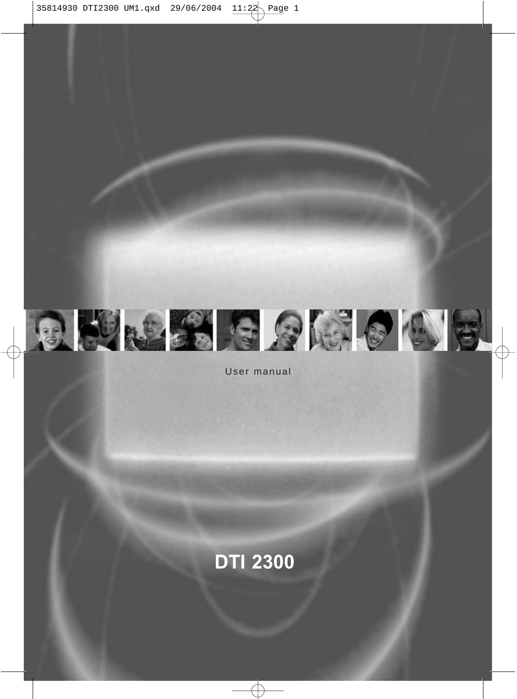

User manual

### **DTI 2300**

Æ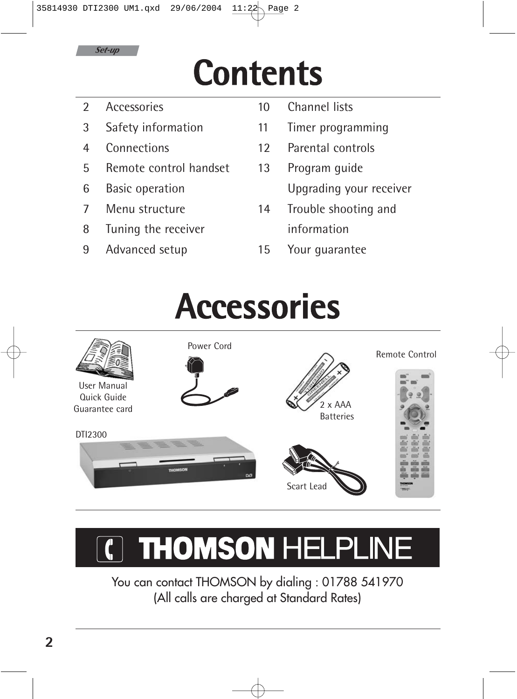

## **Contents**

- 2 Accessories
- 3 Safety information
- 4 Connections
- 5 Remote control handset
- 6 Basic operation
- 7 Menu structure
- 8 Tuning the receiver
- 9 Advanced setup
- 10 Channel lists
- 11 Timer programming
- 12 Parental controls
- 13 Program guide Upgrading your receiver
- 14 Trouble shooting and information
- 15 Your guarantee

### **Accessories**



### **THOMSON HELPLINE**

You can contact THOMSON by dialing : 01788 541970 (All calls are charged at Standard Rates)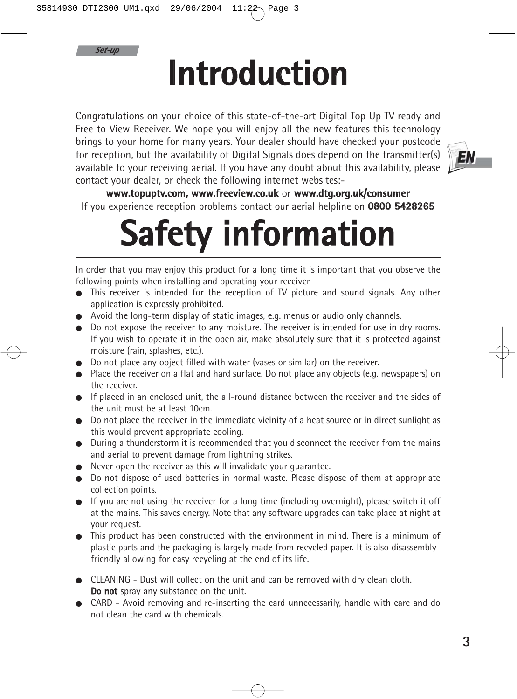*Set-up*

# **Introduction**

Congratulations on your choice of this state-of-the-art Digital Top Up TV ready and Free to View Receiver. We hope you will enjoy all the new features this technology brings to your home for many years. Your dealer should have checked your postcode for reception, but the availability of Digital Signals does depend on the transmitter(s) available to your receiving aerial. If you have any doubt about this availability, please contact your dealer, or check the following internet websites:-



**www.topuptv.com, www.freeview.co.uk** or **www.dtg.org.uk/consumer** If you experience reception problems contact our aerial helpline on **0800 5428265**

# **Safety information**

In order that you may enjoy this product for a long time it is important that you observe the following points when installing and operating your receiver

- This receiver is intended for the reception of TV picture and sound signals. Any other application is expressly prohibited.
- Avoid the long-term display of static images, e.g. menus or audio only channels.
- Do not expose the receiver to any moisture. The receiver is intended for use in dry rooms. If you wish to operate it in the open air, make absolutely sure that it is protected against moisture (rain, splashes, etc.).
- Do not place any object filled with water (vases or similar) on the receiver.
- Place the receiver on a flat and hard surface. Do not place any objects (e.g. newspapers) on the receiver.
- If placed in an enclosed unit, the all-round distance between the receiver and the sides of the unit must be at least 10cm.
- Do not place the receiver in the immediate vicinity of a heat source or in direct sunlight as this would prevent appropriate cooling.
- During a thunderstorm it is recommended that you disconnect the receiver from the mains and aerial to prevent damage from lightning strikes.
- Never open the receiver as this will invalidate your guarantee.
- Do not dispose of used batteries in normal waste. Please dispose of them at appropriate collection points.
- If you are not using the receiver for a long time (including overnight), please switch it off at the mains. This saves energy. Note that any software upgrades can take place at night at your request.
- This product has been constructed with the environment in mind. There is a minimum of plastic parts and the packaging is largely made from recycled paper. It is also disassemblyfriendly allowing for easy recycling at the end of its life.
- **EXEANING Dust will collect on the unit and can be removed with dry clean cloth. Do not** spray any substance on the unit.
- CARD Avoid removing and re-inserting the card unnecessarily, handle with care and do not clean the card with chemicals.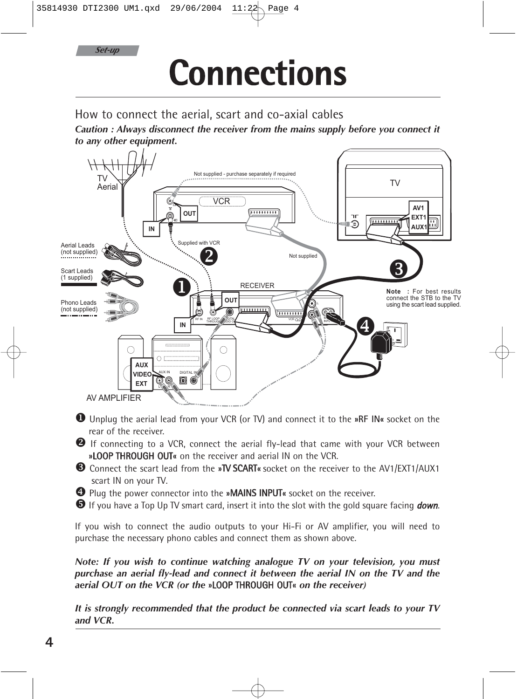*Set-up*

## **Connections**

How to connect the aerial, scart and co-axial cables

*Caution : Always disconnect the receiver from the mains supply before you connect it to any other equipment.*



X Unplug the aerial lead from your VCR (or TV) and connect it to the **»RF IN«** socket on the rear of the receiver.

Y If connecting to a VCR, connect the aerial fly-lead that came with your VCR between **»**LOOP THROUGH OUT**«** on the receiver and aerial IN on the VCR.

- **E** Connect the scart lead from the »TV SCART« socket on the receiver to the AV1/EXT1/AUX1 scart IN on your TV.
- [ Plug the power connector into the **»**MAINS INPUT**«** socket on the receiver.
- **If** you have a Top Up TV smart card, insert it into the slot with the gold square facing **down.**

If you wish to connect the audio outputs to your Hi-Fi or AV amplifier, you will need to purchase the necessary phono cables and connect them as shown above.

*Note: If you wish to continue watching analogue TV on your television, you must purchase an aerial fly-lead and connect it between the aerial IN on the TV and the aerial OUT on the VCR (or the* **»**LOOP THROUGH OUT**«** *on the receiver)*

*It is strongly recommended that the product be connected via scart leads to your TV and VCR.*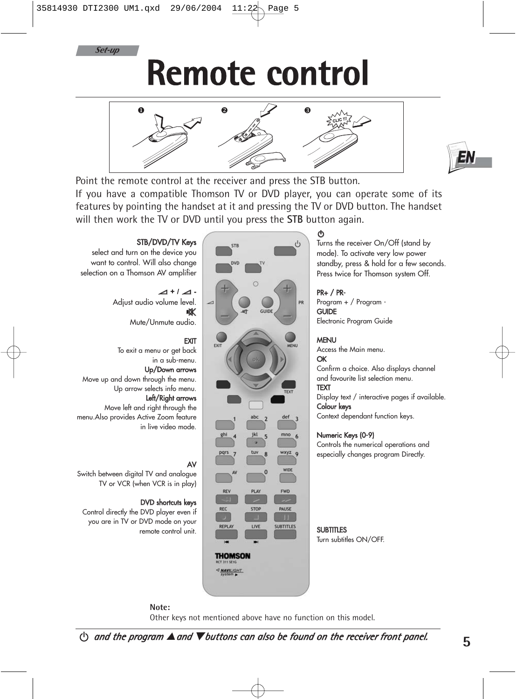

### **Remote control**





Point the remote control at the receiver and press the STB button. If you have a compatible Thomson TV or DVD player, you can operate some of its features by pointing the handset at it and pressing the TV or DVD button. The handset will then work the TV or DVD until you press the **STB** button again.

#### STB/DVD/TV Keys

select and turn on the device you want to control. Will also change selection on a Thomson AV amplifier

> a **+ /** a **-**  Adjust audio volume level. nX

Mute/Unmute audio.

#### EXIT

To exit a menu or get back in a sub-menu.

#### Up/Down arrows

Move up and down through the menu. Up arrow selects info menu.

#### Left/Right arrows

Move left and right through the menu.Also provides Active Zoom feature in live video mode.

#### AV

Switch between digital TV and analogue TV or VCR (when VCR is in play)

#### DVD shortcuts keys

Control directly the DVD player even if you are in TV or DVD mode on your remote control unit.



#### B

Turns the receiver On/Off (stand by mode). To activate very low power standby, press & hold for a few seconds. Press twice for Thomson system Off.

#### PR+ / PR-

Program + / Program - **GUIDE** Electronic Program Guide

#### MENU

Access the Main menu. OK

Confirm a choice. Also displays channel and favourite list selection menu.

#### TEXT

Display text / interactive pages if available. Colour keys

Context dependant function keys.

#### Numeric Keys (0-9)

Controls the numerical operations and especially changes program Directly.

#### **SUBTITLES** Turn subtitles ON/OFF.

**Note:**

Other keys not mentioned above have no function on this model.

MAVILIGHT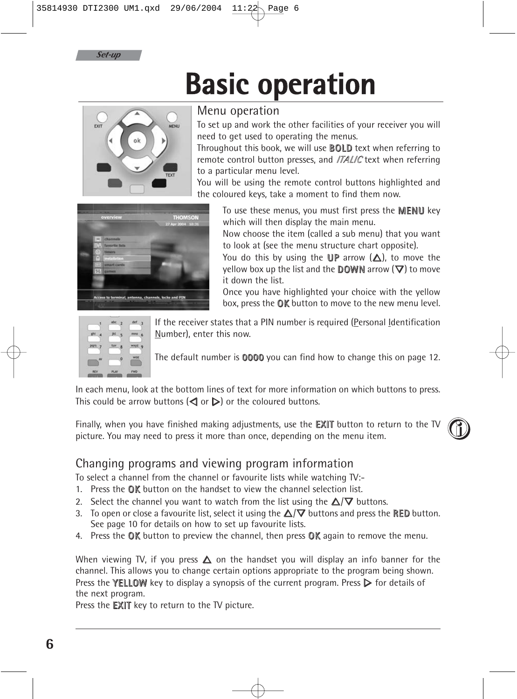



### **Basic operation**



Menu operation

To set up and work the other facilities of your receiver you will need to get used to operating the menus.

Throughout this book, we will use BOLD text when referring to remote control button presses, and *ITALIC* text when referring to a particular menu level.

You will be using the remote control buttons highlighted and the coloured keys, take a moment to find them now.



To use these menus, you must first press the MENU key which will then display the main menu.

Now choose the item (called a sub menu) that you want to look at (see the menu structure chart opposite).

You do this by using the UP arrow  $(\Delta)$ , to move the yellow box up the list and the **DOWN** arrow  $(\nabla)$  to move it down the list.

Once you have highlighted your choice with the yellow box, press the OK button to move to the new menu level.



If the receiver states that a PIN number is required (Personal Identification Number), enter this now.

The default number is 0000 you can find how to change this on page 12.

In each menu, look at the bottom lines of text for more information on which buttons to press. This could be arrow buttons  $(\triangleleft)$  or  $\triangleright)$  or the coloured buttons.

Finally, when you have finished making adjustments, use the **EXIT** button to return to the TV  $\bigcirc$   $\bigcirc$ 

#### Changing programs and viewing program information

To select a channel from the channel or favourite lists while watching TV:-

- 1. Press the OK button on the handset to view the channel selection list.
- 2. Select the channel you want to watch from the list using the  $\Delta/\nabla$  buttons.
- 3. To open or close a favourite list, select it using the  $\triangle/\nabla$  buttons and press the RED button. See page 10 for details on how to set up favourite lists.
- 4. Press the  $\mathbb{Q}$ K button to preview the channel, then press  $\mathbb{Q}$ K again to remove the menu.

When viewing TV, if you press  $\triangle$  on the handset you will display an info banner for the channel. This allows you to change certain options appropriate to the program being shown. Press the **YELLOW** key to display a synopsis of the current program. Press  $\triangleright$  for details of the next program.

Press the **EXIT** key to return to the TV picture.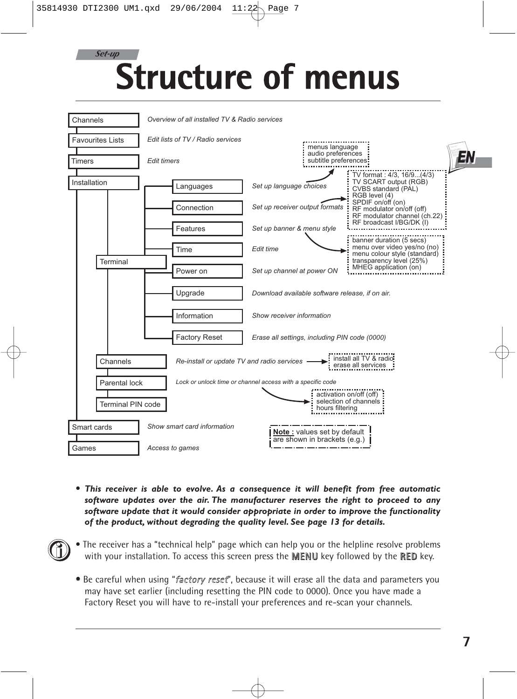### **Structure of menus** *Set-up*

| Channels                 | Overview of all installed TV & Radio services |                                                             |                                                                                                                     |  |  |  |  |
|--------------------------|-----------------------------------------------|-------------------------------------------------------------|---------------------------------------------------------------------------------------------------------------------|--|--|--|--|
| <b>Favourites Lists</b>  | Edit lists of TV / Radio services             | menus language                                              |                                                                                                                     |  |  |  |  |
| Timers                   | <b>Edit timers</b>                            | audio preferences<br>subtitle preferences:                  |                                                                                                                     |  |  |  |  |
| Installation             | Languages                                     | Set up language choices                                     | TV format: 4/3, 16/9(4/3)<br>TV SCART output (RGB)<br>CVBS standard (PAL)<br>RGB level (4)                          |  |  |  |  |
|                          | Connection                                    | Set up receiver output formats                              | SPDIF on/off (on)<br>RF modulator on/off (off)<br>RF modulator channel (ch.22)<br>RF broadcast I/BG/DK (I)          |  |  |  |  |
| Terminal                 | Features                                      | Set up banner & menu style                                  |                                                                                                                     |  |  |  |  |
|                          | Time                                          | Edit time                                                   | banner duration (5 secs)<br>menu over video yes/no (no)<br>menu colour style (standard)<br>transparency level (25%) |  |  |  |  |
|                          | Power on                                      | Set up channel at power ON                                  | MHEG application (on)                                                                                               |  |  |  |  |
|                          | Upgrade                                       | Download available software release, if on air.             |                                                                                                                     |  |  |  |  |
|                          | Information                                   | Show receiver information                                   |                                                                                                                     |  |  |  |  |
|                          | <b>Factory Reset</b>                          | Erase all settings, including PIN code (0000)               |                                                                                                                     |  |  |  |  |
| Channels                 | Re-install or update TV and radio services    |                                                             | install all TV & radio-<br>erase all services                                                                       |  |  |  |  |
| Parental lock            |                                               | Lock or unlock time or channel access with a specific code  |                                                                                                                     |  |  |  |  |
| <b>Terminal PIN code</b> |                                               | hours filtering                                             | activation on/off (off)<br>selection of channels                                                                    |  |  |  |  |
| Smart cards              | Show smart card information                   |                                                             |                                                                                                                     |  |  |  |  |
| Games                    | Access to games                               | Note: values set by default<br>are shown in brackets (e.g.) |                                                                                                                     |  |  |  |  |

- *This receiver is able to evolve. As a consequence it will benefit from free automatic software updates over the air. The manufacturer reserves the right to proceed to any software update that it would consider appropriate in order to improve the functionality of the product, without degrading the quality level. See page 13 for details.*
- The receiver has a "technical help" page which can help you or the helpline resolve problems with your installation. To access this screen press the **MENU** key followed by the **RED** key.  $\textcircled{\small{1}}$ 
	- Be careful when using "factory reset", because it will erase all the data and parameters you may have set earlier (including resetting the PIN code to 0000). Once you have made a Factory Reset you will have to re-install your preferences and re-scan your channels.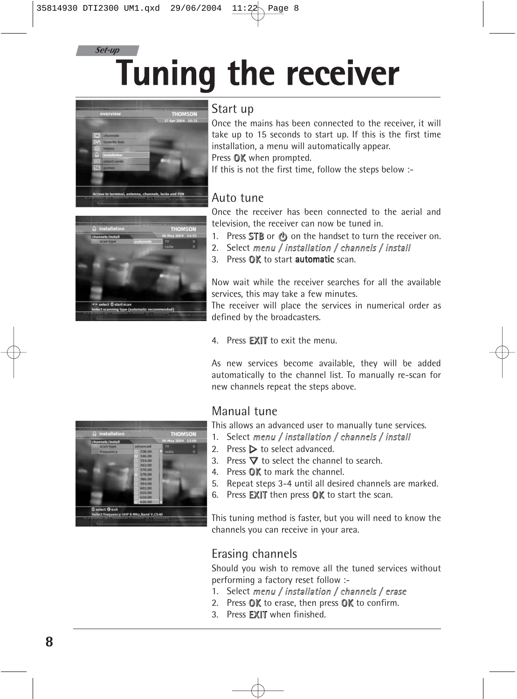### **Tuning the receiver** *Set-up*



#### Start up

Once the mains has been connected to the receiver, it will take up to 15 seconds to start up. If this is the first time installation, a menu will automatically appear. Press **OK** when prompted.

If this is not the first time, follow the steps below :-

#### Auto tune

Once the receiver has been connected to the aerial and television, the receiver can now be tuned in.

- 1. Press STB or  $\circled{b}$  on the handset to turn the receiver on.
- 2. Select menu / installation / channels / install
- 3. Press OK to start automatic scan.

Now wait while the receiver searches for all the available services, this may take a few minutes.

The receiver will place the services in numerical order as defined by the broadcasters.

4. Press EXIT to exit the menu.

As new services become available, they will be added automatically to the channel list. To manually re-scan for new channels repeat the steps above.

#### Manual tune

This allows an advanced user to manually tune services.

- 1. Select menu / installation / channels / install
- 2. Press  $\triangleright$  to select advanced.
- 3. Press  $\nabla$  to select the channel to search.
- 4. Press **OK** to mark the channel.
- 5. Repeat steps 3-4 until all desired channels are marked.
- 6. Press EXIT then press OK to start the scan.

This tuning method is faster, but you will need to know the channels you can receive in your area.

#### Erasing channels

Should you wish to remove all the tuned services without performing a factory reset follow :-

- 1. Select menu / installation / channels / erase
- 2. Press OK to erase, then press OK to confirm.
- 3. Press EXIT when finished.

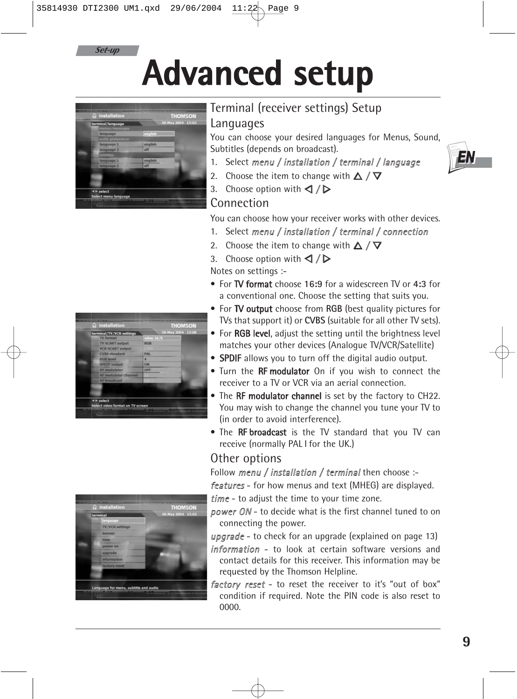

## **Advanced setup**



### Terminal (receiver settings) Setup

#### Languages

You can choose your desired languages for Menus, Sound, Subtitles (depends on broadcast).

- 1. Select menu / installation / terminal / language
- 2. Choose the item to change with  $\triangle$  /  $\nabla$
- 3. Choose option with  $\triangleleft$  /  $\triangleright$

#### Connection

You can choose how your receiver works with other devices.

- 1. Select menu / installation / terminal / connection
- 2. Choose the item to change with  $\triangle / \nabla$
- 3. Choose option with  $\triangle$  /  $\triangleright$

Notes on settings :-

- For TV format choose **16:9** for a widescreen TV or **4:3** for a conventional one. Choose the setting that suits you.
- For TV output choose from **RGB** (best quality pictures for TVs that support it) or **CVBS** (suitable for all other TV sets).
- For RGB level, adjust the setting until the brightness level matches your other devices (Analogue TV/VCR/Satellite)
- SPDIF allows you to turn off the digital audio output.
- Turn the **RF modulator** On if you wish to connect the receiver to a TV or VCR via an aerial connection.
- The RF modulator channel is set by the factory to CH22. You may wish to change the channel you tune your TV to (in order to avoid interference).
- The RF broadcast is the TV standard that you TV can receive (normally PAL I for the UK.)

#### Other options

Follow menu / installation / terminal then choose :-

features - for how menus and text (MHEG) are displayed.

time - to adjust the time to your time zone.

power ON - to decide what is the first channel tuned to on connecting the power.

upgrade - to check for an upgrade (explained on page 13) information - to look at certain software versions and contact details for this receiver. This information may be requested by the Thomson Helpline.

factory reset - to reset the receiver to it's "out of box" condition if required. Note the PIN code is also reset to 0000.



EN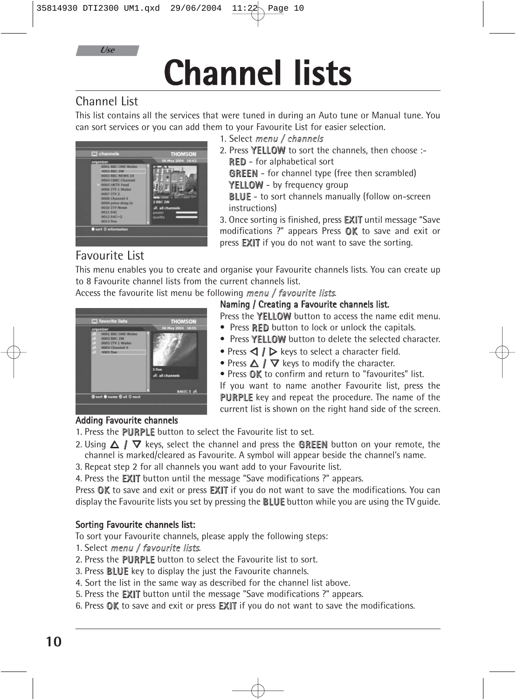**Channel lists**

#### Channel List

*Use*

This list contains all the services that were tuned in during an Auto tune or Manual tune. You can sort services or you can add them to your Favourite List for easier selection.



- 1. Select menu / channels
- 2. Press YELLOW to sort the channels, then choose :-RED - for alphabetical sort GREEN - for channel type (free then scrambled)
- YELLOW by frequency group

BLUE - to sort channels manually (follow on-screen instructions)

3. Once sorting is finished, press EXIT until message "Save modifications ?" appears Press OK to save and exit or press EXIT if you do not want to save the sorting.

### Favourite List

This menu enables you to create and organise your Favourite channels lists. You can create up to 8 Favourite channel lists from the current channels list.

Access the favourite list menu be following menu / favourite lists.

#### Naming / Creating a Favourite channels list.

Press the YELLOW button to access the name edit menu.

- Press **RED** button to lock or unlock the capitals.
- Press YELLOW button to delete the selected character.
- Press  $\triangleleft$  *I*  $\triangleright$  keys to select a character field.
- Press  $\triangle$  /  $\nabla$  keys to modify the character.
- Press **OK** to confirm and return to "favourites" list.

If you want to name another Favourite list, press the PURPLE key and repeat the procedure. The name of the current list is shown on the right hand side of the screen.

#### Adding Favourite channels

- 1. Press the PURPLE button to select the Favourite list to set.
- 2. Using  $\triangle$  /  $\nabla$  keys, select the channel and press the **GREEN** button on your remote, the channel is marked/cleared as Favourite. A symbol will appear beside the channel's name.
- 3. Repeat step 2 for all channels you want add to your Favourite list.

4. Press the **EXIT** button until the message "Save modifications ?" appears.

Press OK to save and exit or press EXIT if you do not want to save the modifications. You can display the Favourite lists you set by pressing the **BLUE** button while you are using the TV guide.

#### Sorting Favourite channels list:

To sort your Favourite channels, please apply the following steps:

- 1. Select menu / favourite lists.
- 2. Press the PURPLE button to select the Favourite list to sort.
- 3. Press **BLUE** key to display the just the Favourite channels.
- 4. Sort the list in the same way as described for the channel list above.
- 5. Press the EXIT button until the message "Save modifications ?" appears.
- 6. Press **OK** to save and exit or press **EXIT** if you do not want to save the modifications.

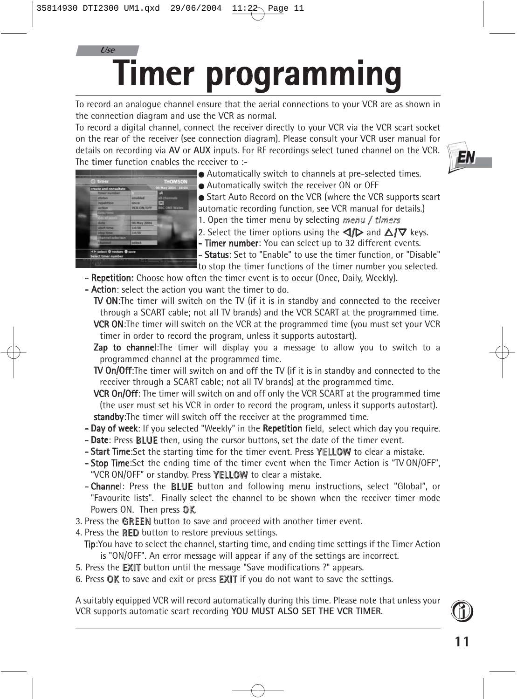### **Timer programming** *Use*

To record an analogue channel ensure that the aerial connections to your VCR are as shown in the connection diagram and use the VCR as normal.

To record a digital channel, connect the receiver directly to your VCR via the VCR scart socket on the rear of the receiver (see connection diagram). Please consult your VCR user manual for details on recording via **AV** or **AUX** inputs. For RF recordings select tuned channel on the VCR. The **timer** function enables the receiver to :-



- - Automatically switch to channels at pre-selected times.
	- Automatically switch the receiver ON or OFF
	- Start Auto Record on the VCR (where the VCR supports scart automatic recording function, see VCR manual for details.)
	- 1. Open the timer menu by selecting menu  $/$  timers
	- 2. Select the timer options using the  $\langle \mathbf{d} \mathbf{r} \rangle$  and  $\Delta \langle \mathbf{r} \rangle$  keys.
	- Timer number: You can select up to 32 different events.

- Status: Set to "Enable" to use the timer function, or "Disable" to stop the timer functions of the timer number you selected.

- Repetition: Choose how often the timer event is to occur (Once, Daily, Weekly).
- Action: select the action you want the timer to do.

TV ON:The timer will switch on the TV (if it is in standby and connected to the receiver through a SCART cable; not all TV brands) and the VCR SCART at the programmed time. VCR ON: The timer will switch on the VCR at the programmed time (you must set your VCR timer in order to record the program, unless it supports autostart).

**Zap to channel:**The timer will display you a message to allow you to switch to a programmed channel at the programmed time.

TV On/Off:The timer will switch on and off the TV (if it is in standby and connected to the receiver through a SCART cable; not all TV brands) at the programmed time.

**VCR On/Off:** The timer will switch on and off only the VCR SCART at the programmed time (the user must set his VCR in order to record the program, unless it supports autostart). standby: The timer will switch off the receiver at the programmed time.

- Day of week: If you selected "Weekly" in the Repetition field, select which day you require.
- Date: Press BLUE then, using the cursor buttons, set the date of the timer event.
- **Start Time:**Set the starting time for the timer event. Press **YELLOW** to clear a mistake.
- **Stop Time:**Set the ending time of the timer event when the Timer Action is "TV ON/OFF", "VCR ON/OFF" or standby. Press YELLOW to clear a mistake.
- Channel: Press the BLUE button and following menu instructions, select "Global", or "Favourite lists". Finally select the channel to be shown when the receiver timer mode Powers ON. Then press OK.
- 3. Press the GREEN button to save and proceed with another timer event.
- 4. Press the **RED** button to restore previous settings.
- Tip:You have to select the channel, starting time, and ending time settings if the Timer Action is "ON/OFF". An error message will appear if any of the settings are incorrect.
- 5. Press the EXIT button until the message "Save modifications ?" appears.
- 6. Press  $\mathbb{OK}$  to save and exit or press **EXIT** if you do not want to save the settings.

A suitably equipped VCR will record automatically during this time. Please note that unless your VCR supports automatic scart recording **YOU MUST ALSO SET THE VCR TIMER**.

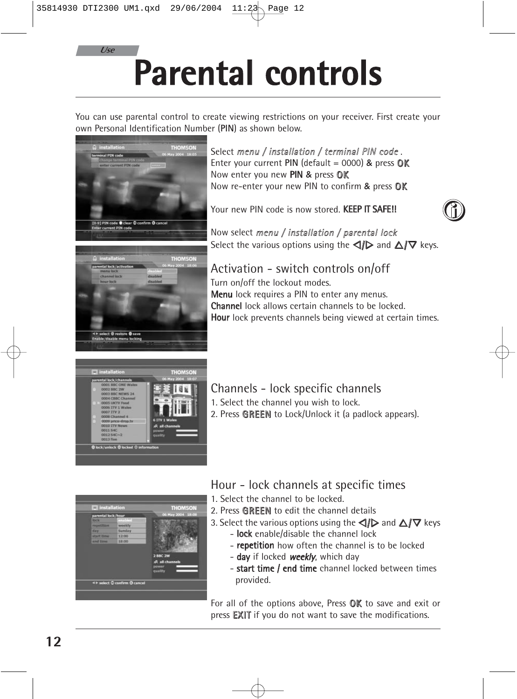*Use*

# **Parental controls**

You can use parental control to create viewing restrictions on your receiver. First create your own Personal Identification Number (**PIN**) as shown below.



#### Select menu / installation / terminal PIN code. Enter your current  $PIN$  (default = 0000)  $&$  press  $QK$ Now enter you new PIN & press OK Now re-enter your new PIN to confirm & press OK

Your new PIN code is now stored. KEEP IT SAFE!!



Now select menu / installation / parental lock Select the various options using the  $\triangle$ / $\triangleright$  and  $\triangle$ / $\nabla$  keys.

Activation - switch controls on/off Turn on/off the lockout modes. Menu lock requires a PIN to enter any menus. Channel lock allows certain channels to be locked. Hour lock prevents channels being viewed at certain times.



### Channels - lock specific channels

- 1. Select the channel you wish to lock.
- 2. Press GREEN to Lock/Unlock it (a padlock appears).



#### Hour - lock channels at specific times

- 1. Select the channel to be locked.
- 2. Press GREEN to edit the channel details
- 3. Select the various options using the  $\triangle$  and  $\triangle$  / $\nabla$  keys - **lock** enable/disable the channel lock
	- repetition how often the channel is to be locked
	- day if locked weekly, which day
	- start time / end time channel locked between times provided.

For all of the options above, Press  $\mathbb{OK}$  to save and exit or press EXIT if you do not want to save the modifications.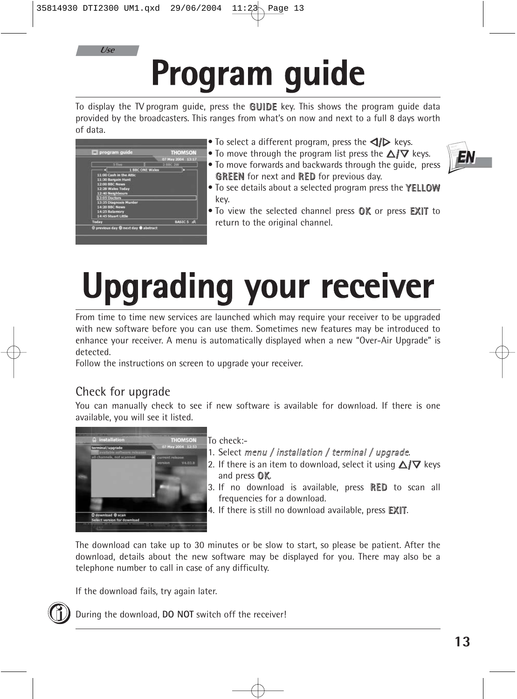*Use*

# **Program guide**

To display the TV program guide, press the **GUIDE** key. This shows the program quide data provided by the broadcasters. This ranges from what's on now and next to a full 8 days worth of data.

|               | program guide           |                        | <b>THOMSON</b>    |  |
|---------------|-------------------------|------------------------|-------------------|--|
|               |                         |                        | 07 May 2004 13:17 |  |
|               | <b>S. Films</b>         |                        | <b>BBC 2W</b>     |  |
|               |                         | <b>1 BBC ONE Wales</b> |                   |  |
|               | 11:00 Cash in the Attic |                        |                   |  |
|               | 11:30 Bargain Hunt      |                        |                   |  |
|               | 12:00 BBC News          |                        |                   |  |
|               | 12:28 Wales Today       |                        |                   |  |
|               | 12:40 Neighbours        |                        |                   |  |
| 13:05 Doctors |                         |                        |                   |  |
|               | 13:35 Diagnosis Murder  |                        |                   |  |
|               | 14:20 BBC News          |                        |                   |  |
|               | 14:25 Balamory          |                        |                   |  |
|               | 14:45 Stuart Little     |                        |                   |  |
| Today         |                         |                        | BASIC 5 AR        |  |

- To select a different program, press the  $\triangleleft\rightarrow$  keys.
- To move through the program list press the  $\triangle/\nabla$  keys. • To move forwards and backwards through the guide, press **GREEN** for next and **RED** for previous day.
- To see details about a selected program press the YELLOW key.
- To view the selected channel press OK or press EXIT to return to the original channel.

# **Upgrading your receiver**

From time to time new services are launched which may require your receiver to be upgraded with new software before you can use them. Sometimes new features may be introduced to enhance your receiver. A menu is automatically displayed when a new "Over-Air Upgrade" is detected.

Follow the instructions on screen to upgrade your receiver.

#### Check for upgrade

You can manually check to see if new software is available for download. If there is one available, you will see it listed.



To check:-

- 1. Select menu / installation / terminal / upgrade.
- 2. If there is an item to download, select it using  $\triangle/\nabla$  keys and press OK.
- 3. If no download is available, press RED to scan all frequencies for a download.
- 4. If there is still no download available, press **EXIT**.

The download can take up to 30 minutes or be slow to start, so please be patient. After the download, details about the new software may be displayed for you. There may also be a telephone number to call in case of any difficulty.

If the download fails, try again later.



During the download, **DO NOT** switch off the receiver!

Eλ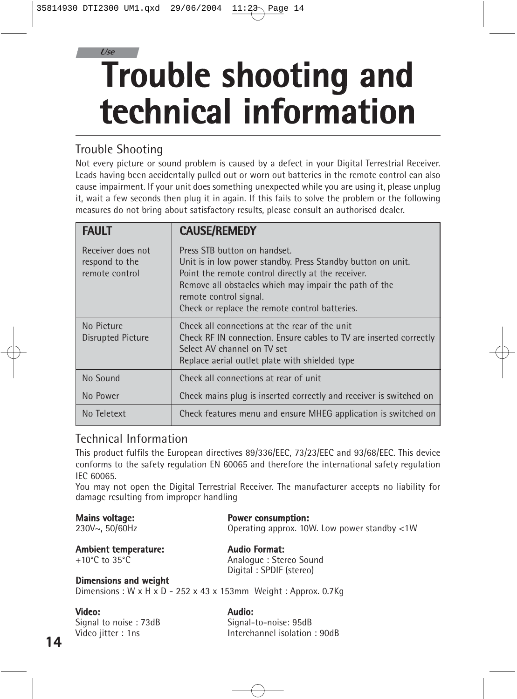### **Trouble shooting and technical information** *Use*

#### Trouble Shooting

| 35814930 DTI2300 UM1.qxd 29/06/2004                                                   | Page 14<br>11:22                                                                                                                                                                                                                                                                                                                                                                                                                                                                                  |  |  |  |
|---------------------------------------------------------------------------------------|---------------------------------------------------------------------------------------------------------------------------------------------------------------------------------------------------------------------------------------------------------------------------------------------------------------------------------------------------------------------------------------------------------------------------------------------------------------------------------------------------|--|--|--|
| Use                                                                                   | <b>Trouble shooting and</b><br>technical information                                                                                                                                                                                                                                                                                                                                                                                                                                              |  |  |  |
| <b>Trouble Shooting</b>                                                               | Not every picture or sound problem is caused by a defect in your Digital Terrestrial Receiver.<br>Leads having been accidentally pulled out or worn out batteries in the remote control can also<br>cause impairment. If your unit does something unexpected while you are using it, please unplug<br>it, wait a few seconds then plug it in again. If this fails to solve the problem or the following<br>measures do not bring about satisfactory results, please consult an authorised dealer. |  |  |  |
| <b>FAULT</b>                                                                          | <b>CAUSE/REMEDY</b>                                                                                                                                                                                                                                                                                                                                                                                                                                                                               |  |  |  |
| Receiver does not<br>respond to the<br>remote control                                 | Press STB button on handset.<br>Unit is in low power standby. Press Standby button on unit.<br>Point the remote control directly at the receiver.<br>Remove all obstacles which may impair the path of the<br>remote control signal.<br>Check or replace the remote control batteries.                                                                                                                                                                                                            |  |  |  |
| No Picture<br>Disrupted Picture                                                       | Check all connections at the rear of the unit<br>Check RF IN connection. Ensure cables to TV are inserted correctly<br>Select AV channel on TV set<br>Replace aerial outlet plate with shielded type                                                                                                                                                                                                                                                                                              |  |  |  |
| No Sound                                                                              | Check all connections at rear of unit                                                                                                                                                                                                                                                                                                                                                                                                                                                             |  |  |  |
| No Power                                                                              | Check mains plug is inserted correctly and receiver is switched on                                                                                                                                                                                                                                                                                                                                                                                                                                |  |  |  |
| No Teletext                                                                           | Check features menu and ensure MHEG application is switched on                                                                                                                                                                                                                                                                                                                                                                                                                                    |  |  |  |
| <b>Technical Information</b><br>IEC 60065.<br>damage resulting from improper handling | This product fulfils the European directives 89/336/EEC, 73/23/EEC and 93/68/EEC. This device<br>conforms to the safety regulation EN 60065 and therefore the international safety regulation<br>You may not open the Digital Terrestrial Receiver. The manufacturer accepts no liability for                                                                                                                                                                                                     |  |  |  |
| <b>Mains voltage:</b><br>230V~, 50/60Hz                                               | <b>Power consumption:</b><br>Operating approx. 10W. Low power standby <1W                                                                                                                                                                                                                                                                                                                                                                                                                         |  |  |  |
| <b>Ambient temperature:</b><br>+10 $^{\circ}$ C to 35 $^{\circ}$ C                    | <b>Audio Format:</b><br>Analogue: Stereo Sound<br>Digital: SPDIF (stereo)                                                                                                                                                                                                                                                                                                                                                                                                                         |  |  |  |
| <b>Dimensions and weight</b>                                                          | Dimensions: $W \times H \times D - 252 \times 43 \times 153$ mm Weight: Approx. 0.7Kg                                                                                                                                                                                                                                                                                                                                                                                                             |  |  |  |
| Video:<br>Signal to noise: 73dB<br>Video jitter: 1ns                                  | Audio:<br>Signal-to-noise: 95dB<br>Interchannel isolation: 90dB                                                                                                                                                                                                                                                                                                                                                                                                                                   |  |  |  |
|                                                                                       |                                                                                                                                                                                                                                                                                                                                                                                                                                                                                                   |  |  |  |

#### Technical Information

#### **Mains voltage: Power consumption:**

#### **Ambient temperature: Audio Format:** Analogue : Stereo Sound Digital : SPDIF (stereo)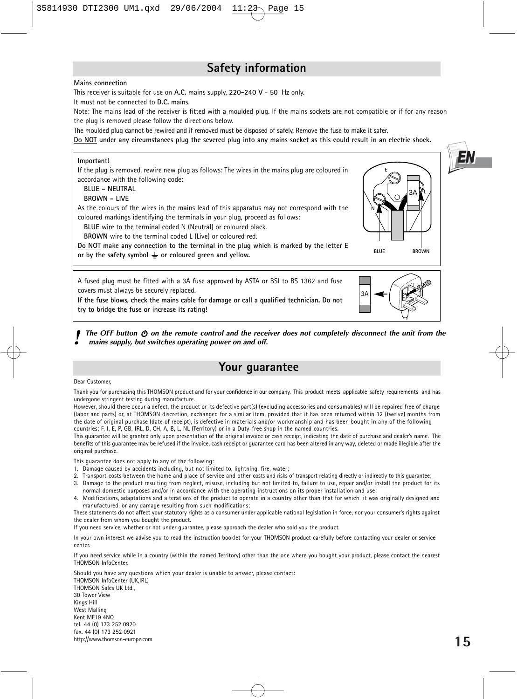#### **Safety information**

#### **Mains connection**

This receiver is suitable for use on **A.C.** mains supply, **220-240 V** - **50 Hz** only.

It must not be connected to **D.C.** mains.

Note: The mains lead of the receiver is fitted with a moulded plug. If the mains sockets are not compatible or if for any reason the plug is removed please follow the directions below.

The moulded plug cannot be rewired and if removed must be disposed of safely. Remove the fuse to make it safer.

**Do NOT under any circumstances plug the severed plug into any mains socket as this could result in an electric shock.**

#### **Important!**

If the plug is removed, rewire new plug as follows: The wires in the mains plug are coloured in accordance with the following code:

#### **BLUE - NEUTRAL**

#### **BROWN - LIVE**

As the colours of the wires in the mains lead of this apparatus may not correspond with the coloured markings identifying the terminals in your plug, proceed as follows:

**BLUE** wire to the terminal coded N (Neutral) or coloured black.

**BROWN** wire to the terminal coded L (Live) or coloured red.

**Do NOT make any connection to the terminal in the plug which is marked by the letter E** or by the safety symbol  $\perp$  or coloured green and yellow.

A fused plug must be fitted with a 3A fuse approved by ASTA or BSI to BS 1362 and fuse covers must always be securely replaced.

**If the fuse blows, check the mains cable for damage or call a qualified technician. Do not try to bridge the fuse or increase its rating!**

**3A** 3A

**BLUE** BROWN

**N**

**E**

3A

**L**

*Ihe OFF button*  $\Phi$  *on the remote control and the receiver does not completely disconnect the unit from the mains supply, but switches operating power on and off.*

#### **Your guarantee**

#### Dear Customer,

Thank you for purchasing this THOMSON product and for your confidence in our company. This product meets applicable safety requirements and has undergone stringent testing during manufacture.

However, should there occur a defect, the product or its defective part(s) (excluding accessories and consumables) will be repaired free of charge (labor and parts) or, at THOMSON discretion, exchanged for a similar item, provided that it has been returned within 12 (twelve) months from the date of original purchase (date of receipt), is defective in materials and/or workmanship and has been bought in any of the following countries: F, I, E, P, GB, IRL, D, CH, A, B, L, NL (Territory) or in a Duty-free shop in the named countries.

This guarantee will be granted only upon presentation of the original invoice or cash receipt, indicating the date of purchase and dealer's name. The benefits of this guarantee may be refused if the invoice, cash receipt or guarantee card has been altered in any way, deleted or made illegible after the original purchase.

This guarantee does not apply to any of the following:

- 1. Damage caused by accidents including, but not limited to, lightning, fire, water;
- 2. Transport costs between the home and place of service and other costs and risks of transport relating directly or indirectly to this guarantee;
- 3. Damage to the product resulting from neglect, misuse, including but not limited to, failure to use, repair and/or install the product for its normal domestic purposes and/or in accordance with the operating instructions on its proper installation and use;
- 4. Modifications, adaptations and alterations of the product to operate in a country other than that for which it was originally designed and manufactured, or any damage resulting from such modifications;

These statements do not affect your statutory rights as a consumer under applicable national legislation in force, nor your consumer's rights against the dealer from whom you bought the product.

If you need service, whether or not under guarantee, please approach the dealer who sold you the product.

In your own interest we advise you to read the instruction booklet for your THOMSON product carefully before contacting your dealer or service center.

If you need service while in a country (within the named Territory) other than the one where you bought your product, please contact the nearest THOMSON InfoCenter.

Should you have any questions which your dealer is unable to answer, please contact: THOMSON InfoCenter (UK,IRL) THOMSON Sales UK Ltd., 30 Tower View Kings Hill West Malling Kent ME19 4NQ tel. 44 (0) 173 252 0920 fax. 44 (0) 173 252 0921 http://www.thomson-europe.com